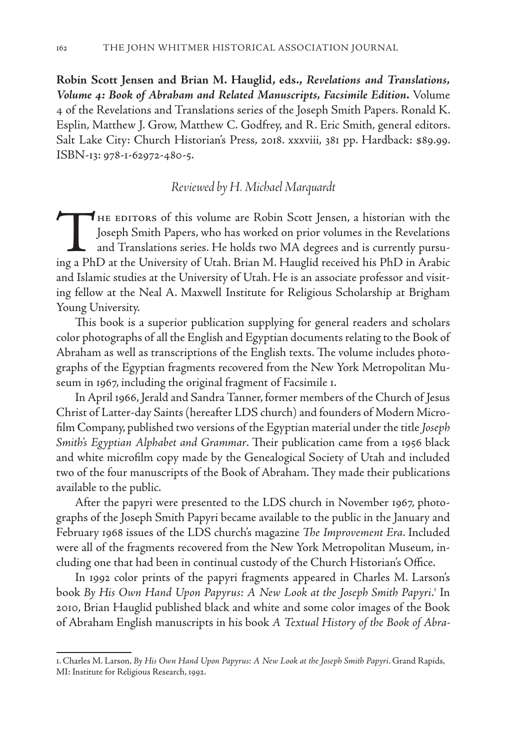**Robin Scott Jensen and Brian M. Hauglid, eds.,** *Revelations and Translations, Volume 4: Book of Abraham and Related Manuscripts, Facsimile Edition***.** Volume 4 of the Revelations and Translations series of the Joseph Smith Papers. Ronald K. Esplin, Matthew J. Grow, Matthew C. Godfrey, and R. Eric Smith, general editors. Salt Lake City: Church Historian's Press, 2018. xxxviii, 381 pp. Hardback: \$89.99. ISBN-13: 978-1-62972-480-5.

## *Reviewed by H. Michael Marquardt*

THE EDITORS of this volume are Robin Scott Jensen, a historian with the Joseph Smith Papers, who has worked on prior volumes in the Revelations and Translations series. He holds two MA degrees and is currently pursuing a PhD at the University of Utah. Brian M. Hauglid received his PhD in Arabic and Islamic studies at the University of Utah. He is an associate professor and visiting fellow at the Neal A. Maxwell Institute for Religious Scholarship at Brigham Young University.

This book is a superior publication supplying for general readers and scholars color photographs of all the English and Egyptian documents relating to the Book of Abraham as well as transcriptions of the English texts. The volume includes photographs of the Egyptian fragments recovered from the New York Metropolitan Museum in 1967, including the original fragment of Facsimile 1.

In April 1966, Jerald and Sandra Tanner, former members of the Church of Jesus Christ of Latter-day Saints (hereafter LDS church) and founders of Modern Microfilm Company, published two versions of the Egyptian material under the title *Joseph Smith's Egyptian Alphabet and Grammar*. Their publication came from a 1956 black and white microfilm copy made by the Genealogical Society of Utah and included two of the four manuscripts of the Book of Abraham. They made their publications available to the public.

After the papyri were presented to the LDS church in November 1967, photographs of the Joseph Smith Papyri became available to the public in the January and February 1968 issues of the LDS church's magazine *The Improvement Era*. Included were all of the fragments recovered from the New York Metropolitan Museum, including one that had been in continual custody of the Church Historian's Office.

In 1992 color prints of the papyri fragments appeared in Charles M. Larson's book By His Own Hand Upon Papyrus: A New Look at the Joseph Smith Papyri.<sup>1</sup> In 2010, Brian Hauglid published black and white and some color images of the Book of Abraham English manuscripts in his book *A Textual History of the Book of Abra-*

<sup>1.</sup> Charles M. Larson, *By His Own Hand Upon Papyrus: A New Look at the Joseph Smith Papyri*. Grand Rapids, MI: Institute for Religious Research, 1992.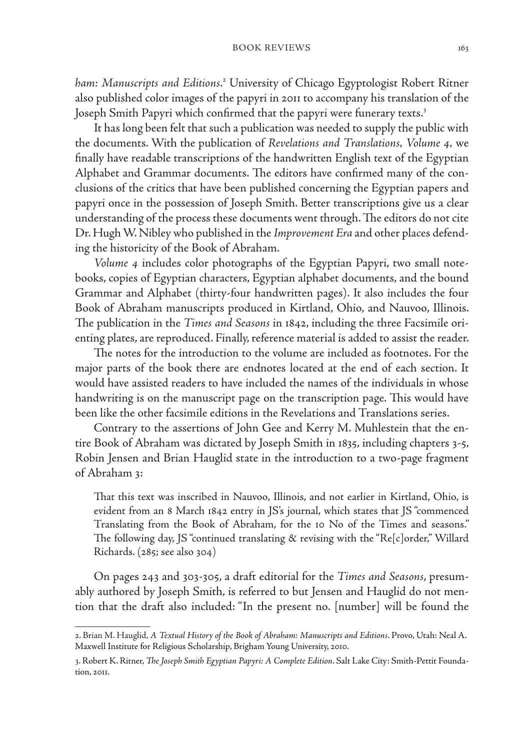## BOOK REVIEWS 163

ham: Manuscripts and Editions.<sup>2</sup> University of Chicago Egyptologist Robert Ritner also published color images of the papyri in 2011 to accompany his translation of the Joseph Smith Papyri which confirmed that the papyri were funerary texts.<sup>3</sup>

It has long been felt that such a publication was needed to supply the public with the documents. With the publication of *Revelations and Translations, Volume 4,* we finally have readable transcriptions of the handwritten English text of the Egyptian Alphabet and Grammar documents. The editors have confirmed many of the conclusions of the critics that have been published concerning the Egyptian papers and papyri once in the possession of Joseph Smith. Better transcriptions give us a clear understanding of the process these documents went through. The editors do not cite Dr. Hugh W. Nibley who published in the *Improvement Era* and other places defending the historicity of the Book of Abraham.

*Volume 4* includes color photographs of the Egyptian Papyri, two small notebooks, copies of Egyptian characters, Egyptian alphabet documents, and the bound Grammar and Alphabet (thirty-four handwritten pages). It also includes the four Book of Abraham manuscripts produced in Kirtland, Ohio, and Nauvoo, Illinois. The publication in the *Times and Seasons* in 1842, including the three Facsimile orienting plates, are reproduced. Finally, reference material is added to assist the reader.

The notes for the introduction to the volume are included as footnotes. For the major parts of the book there are endnotes located at the end of each section. It would have assisted readers to have included the names of the individuals in whose handwriting is on the manuscript page on the transcription page. This would have been like the other facsimile editions in the Revelations and Translations series.

Contrary to the assertions of John Gee and Kerry M. Muhlestein that the entire Book of Abraham was dictated by Joseph Smith in 1835, including chapters 3-5, Robin Jensen and Brian Hauglid state in the introduction to a two-page fragment of Abraham 3:

That this text was inscribed in Nauvoo, Illinois, and not earlier in Kirtland, Ohio, is evident from an 8 March 1842 entry in JS's journal, which states that JS "commenced Translating from the Book of Abraham, for the 10 No of the Times and seasons." The following day, JS "continued translating & revising with the "Re[c]order," Willard Richards. (285; see also 304)

On pages 243 and 303-305, a draft editorial for the *Times and Seasons*, presumably authored by Joseph Smith, is referred to but Jensen and Hauglid do not mention that the draft also included: "In the present no. [number] will be found the

<sup>2.</sup> Brian M. Hauglid, *A Textual History of the Book of Abraham: Manuscripts and Editions*. Provo, Utah: Neal A. Maxwell Institute for Religious Scholarship, Brigham Young University, 2010.

<sup>3.</sup> Robert K. Ritner, *The Joseph Smith Egyptian Papyri: A Complete Edition*. Salt Lake City: Smith-Pettit Foundation, 2011.